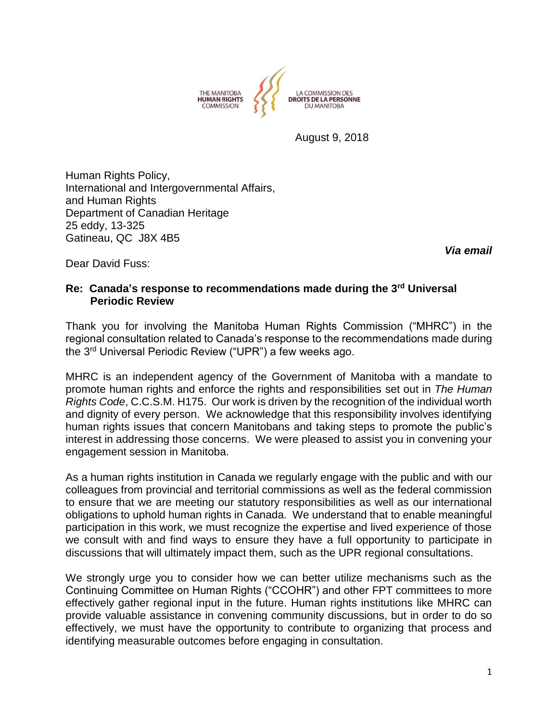

August 9, 2018

Human Rights Policy, International and Intergovernmental Affairs, and Human Rights Department of Canadian Heritage 25 eddy, 13-325 Gatineau, QC J8X 4B5

Dear David Fuss:

*Via email* 

## **Re: Canada's response to recommendations made during the 3rd Universal Periodic Review**

Thank you for involving the Manitoba Human Rights Commission ("MHRC") in the regional consultation related to Canada's response to the recommendations made during the 3rd Universal Periodic Review ("UPR") a few weeks ago.

MHRC is an independent agency of the Government of Manitoba with a mandate to promote human rights and enforce the rights and responsibilities set out in *The Human Rights Code*, C.C.S.M. H175. Our work is driven by the recognition of the individual worth and dignity of every person. We acknowledge that this responsibility involves identifying human rights issues that concern Manitobans and taking steps to promote the public's interest in addressing those concerns. We were pleased to assist you in convening your engagement session in Manitoba.

As a human rights institution in Canada we regularly engage with the public and with our colleagues from provincial and territorial commissions as well as the federal commission to ensure that we are meeting our statutory responsibilities as well as our international obligations to uphold human rights in Canada. We understand that to enable meaningful participation in this work, we must recognize the expertise and lived experience of those we consult with and find ways to ensure they have a full opportunity to participate in discussions that will ultimately impact them, such as the UPR regional consultations.

We strongly urge you to consider how we can better utilize mechanisms such as the Continuing Committee on Human Rights ("CCOHR") and other FPT committees to more effectively gather regional input in the future. Human rights institutions like MHRC can provide valuable assistance in convening community discussions, but in order to do so effectively, we must have the opportunity to contribute to organizing that process and identifying measurable outcomes before engaging in consultation.